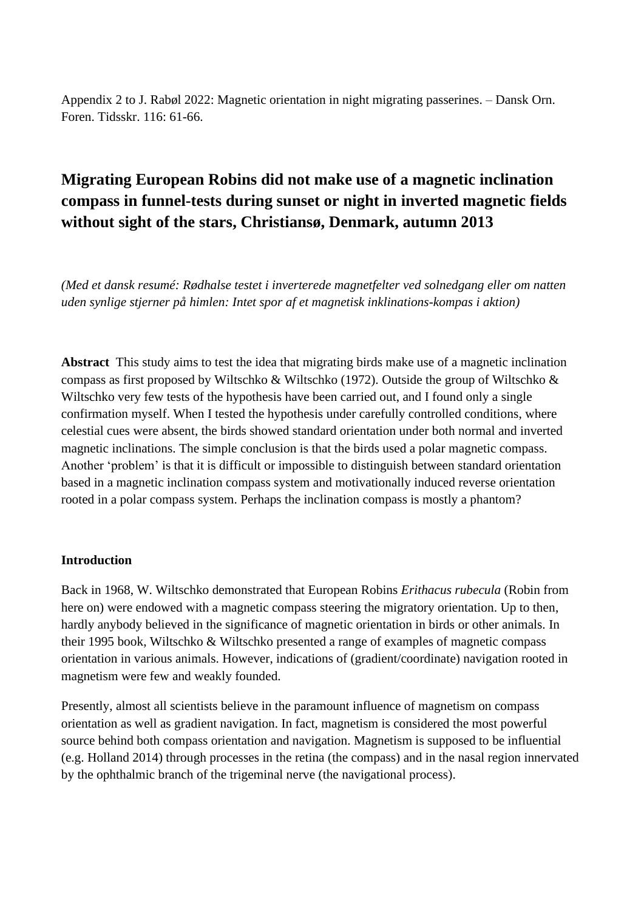Appendix 2 to J. Rabøl 2022: Magnetic orientation in night migrating passerines. – Dansk Orn. Foren. Tidsskr. 116: 61-66.

# **Migrating European Robins did not make use of a magnetic inclination compass in funnel-tests during sunset or night in inverted magnetic fields without sight of the stars, Christiansø, Denmark, autumn 2013**

*(Med et dansk resumé: Rødhalse testet i inverterede magnetfelter ved solnedgang eller om natten uden synlige stjerner på himlen: Intet spor af et magnetisk inklinations-kompas i aktion)*

**Abstract** This study aims to test the idea that migrating birds make use of a magnetic inclination compass as first proposed by Wiltschko & Wiltschko (1972). Outside the group of Wiltschko & Wiltschko very few tests of the hypothesis have been carried out, and I found only a single confirmation myself. When I tested the hypothesis under carefully controlled conditions, where celestial cues were absent, the birds showed standard orientation under both normal and inverted magnetic inclinations. The simple conclusion is that the birds used a polar magnetic compass. Another 'problem' is that it is difficult or impossible to distinguish between standard orientation based in a magnetic inclination compass system and motivationally induced reverse orientation rooted in a polar compass system. Perhaps the inclination compass is mostly a phantom?

#### **Introduction**

Back in 1968, W. Wiltschko demonstrated that European Robins *Erithacus rubecula* (Robin from here on) were endowed with a magnetic compass steering the migratory orientation. Up to then, hardly anybody believed in the significance of magnetic orientation in birds or other animals. In their 1995 book, Wiltschko & Wiltschko presented a range of examples of magnetic compass orientation in various animals. However, indications of (gradient/coordinate) navigation rooted in magnetism were few and weakly founded.

Presently, almost all scientists believe in the paramount influence of magnetism on compass orientation as well as gradient navigation. In fact, magnetism is considered the most powerful source behind both compass orientation and navigation. Magnetism is supposed to be influential (e.g. Holland 2014) through processes in the retina (the compass) and in the nasal region innervated by the ophthalmic branch of the trigeminal nerve (the navigational process).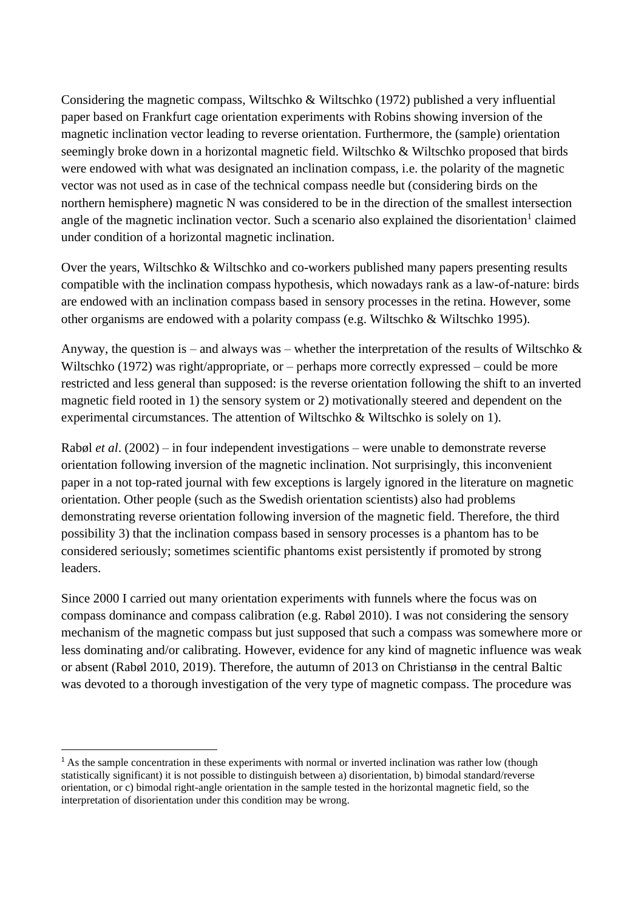Considering the magnetic compass, Wiltschko & Wiltschko (1972) published a very influential paper based on Frankfurt cage orientation experiments with Robins showing inversion of the magnetic inclination vector leading to reverse orientation. Furthermore, the (sample) orientation seemingly broke down in a horizontal magnetic field. Wiltschko & Wiltschko proposed that birds were endowed with what was designated an inclination compass, i.e. the polarity of the magnetic vector was not used as in case of the technical compass needle but (considering birds on the northern hemisphere) magnetic N was considered to be in the direction of the smallest intersection angle of the magnetic inclination vector. Such a scenario also explained the disorientation<sup>1</sup> claimed under condition of a horizontal magnetic inclination.

Over the years, Wiltschko & Wiltschko and co-workers published many papers presenting results compatible with the inclination compass hypothesis, which nowadays rank as a law-of-nature: birds are endowed with an inclination compass based in sensory processes in the retina. However, some other organisms are endowed with a polarity compass (e.g. Wiltschko & Wiltschko 1995).

Anyway, the question is – and always was – whether the interpretation of the results of Wiltschko  $\&$ Wiltschko (1972) was right/appropriate, or – perhaps more correctly expressed – could be more restricted and less general than supposed: is the reverse orientation following the shift to an inverted magnetic field rooted in 1) the sensory system or 2) motivationally steered and dependent on the experimental circumstances. The attention of Wiltschko & Wiltschko is solely on 1).

Rabøl *et al*. (2002) – in four independent investigations – were unable to demonstrate reverse orientation following inversion of the magnetic inclination. Not surprisingly, this inconvenient paper in a not top-rated journal with few exceptions is largely ignored in the literature on magnetic orientation. Other people (such as the Swedish orientation scientists) also had problems demonstrating reverse orientation following inversion of the magnetic field. Therefore, the third possibility 3) that the inclination compass based in sensory processes is a phantom has to be considered seriously; sometimes scientific phantoms exist persistently if promoted by strong leaders.

Since 2000 I carried out many orientation experiments with funnels where the focus was on compass dominance and compass calibration (e.g. Rabøl 2010). I was not considering the sensory mechanism of the magnetic compass but just supposed that such a compass was somewhere more or less dominating and/or calibrating. However, evidence for any kind of magnetic influence was weak or absent (Rabøl 2010, 2019). Therefore, the autumn of 2013 on Christiansø in the central Baltic was devoted to a thorough investigation of the very type of magnetic compass. The procedure was

<sup>&</sup>lt;sup>1</sup> As the sample concentration in these experiments with normal or inverted inclination was rather low (though statistically significant) it is not possible to distinguish between a) disorientation, b) bimodal standard/reverse orientation, or c) bimodal right-angle orientation in the sample tested in the horizontal magnetic field, so the interpretation of disorientation under this condition may be wrong.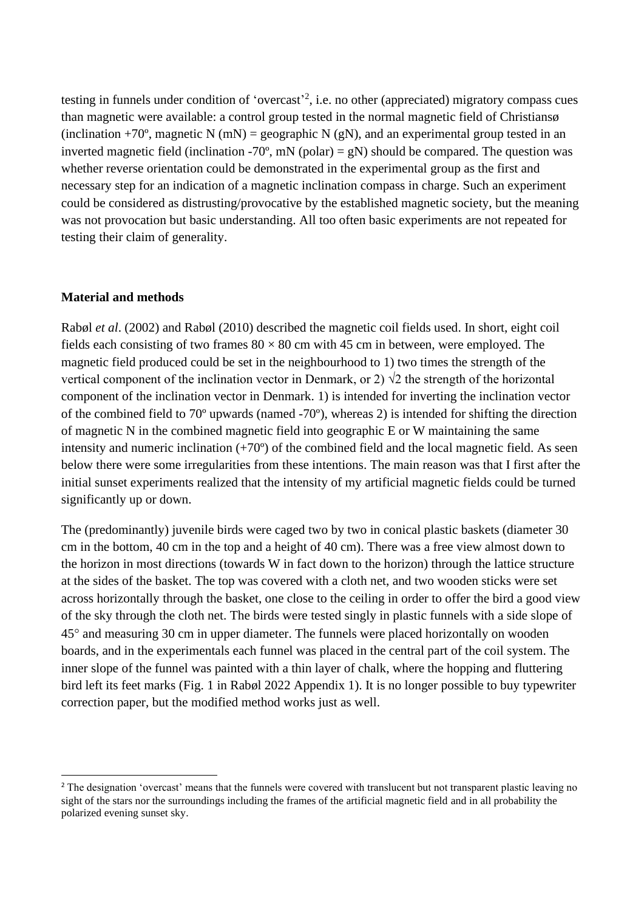testing in funnels under condition of 'overcast'<sup>2</sup>, i.e. no other (appreciated) migratory compass cues than magnetic were available: a control group tested in the normal magnetic field of Christiansø (inclination +70°, magnetic N (mN) = geographic N (gN), and an experimental group tested in an inverted magnetic field (inclination -70 $^{\circ}$ , mN (polar) = gN) should be compared. The question was whether reverse orientation could be demonstrated in the experimental group as the first and necessary step for an indication of a magnetic inclination compass in charge. Such an experiment could be considered as distrusting/provocative by the established magnetic society, but the meaning was not provocation but basic understanding. All too often basic experiments are not repeated for testing their claim of generality.

## **Material and methods**

Rabøl *et al*. (2002) and Rabøl (2010) described the magnetic coil fields used. In short, eight coil fields each consisting of two frames  $80 \times 80$  cm with 45 cm in between, were employed. The magnetic field produced could be set in the neighbourhood to 1) two times the strength of the vertical component of the inclination vector in Denmark, or 2)  $\sqrt{2}$  the strength of the horizontal component of the inclination vector in Denmark. 1) is intended for inverting the inclination vector of the combined field to 70º upwards (named -70º), whereas 2) is intended for shifting the direction of magnetic N in the combined magnetic field into geographic E or W maintaining the same intensity and numeric inclination (+70º) of the combined field and the local magnetic field. As seen below there were some irregularities from these intentions. The main reason was that I first after the initial sunset experiments realized that the intensity of my artificial magnetic fields could be turned significantly up or down.

The (predominantly) juvenile birds were caged two by two in conical plastic baskets (diameter 30 cm in the bottom, 40 cm in the top and a height of 40 cm). There was a free view almost down to the horizon in most directions (towards W in fact down to the horizon) through the lattice structure at the sides of the basket. The top was covered with a cloth net, and two wooden sticks were set across horizontally through the basket, one close to the ceiling in order to offer the bird a good view of the sky through the cloth net. The birds were tested singly in plastic funnels with a side slope of 45 and measuring 30 cm in upper diameter. The funnels were placed horizontally on wooden boards, and in the experimentals each funnel was placed in the central part of the coil system. The inner slope of the funnel was painted with a thin layer of chalk, where the hopping and fluttering bird left its feet marks (Fig. 1 in Rabøl 2022 Appendix 1). It is no longer possible to buy typewriter correction paper, but the modified method works just as well.

<sup>&</sup>lt;sup>2</sup> The designation 'overcast' means that the funnels were covered with translucent but not transparent plastic leaving no sight of the stars nor the surroundings including the frames of the artificial magnetic field and in all probability the polarized evening sunset sky.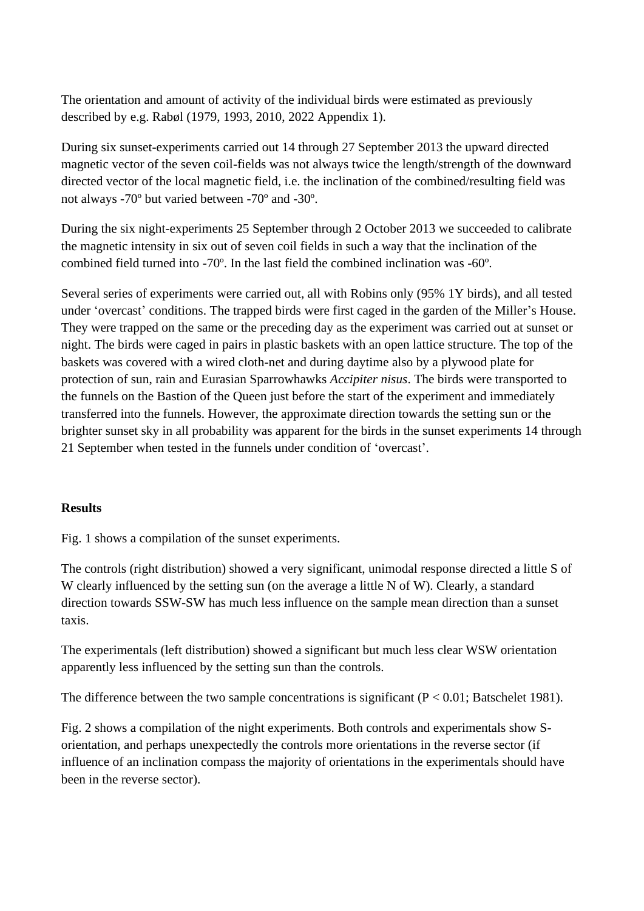The orientation and amount of activity of the individual birds were estimated as previously described by e.g. Rabøl (1979, 1993, 2010, 2022 Appendix 1).

During six sunset-experiments carried out 14 through 27 September 2013 the upward directed magnetic vector of the seven coil-fields was not always twice the length/strength of the downward directed vector of the local magnetic field, i.e. the inclination of the combined/resulting field was not always -70º but varied between -70º and -30º.

During the six night-experiments 25 September through 2 October 2013 we succeeded to calibrate the magnetic intensity in six out of seven coil fields in such a way that the inclination of the combined field turned into -70 $^{\circ}$ . In the last field the combined inclination was -60 $^{\circ}$ .

Several series of experiments were carried out, all with Robins only (95% 1Y birds), and all tested under 'overcast' conditions. The trapped birds were first caged in the garden of the Miller's House. They were trapped on the same or the preceding day as the experiment was carried out at sunset or night. The birds were caged in pairs in plastic baskets with an open lattice structure. The top of the baskets was covered with a wired cloth-net and during daytime also by a plywood plate for protection of sun, rain and Eurasian Sparrowhawks *Accipiter nisus*. The birds were transported to the funnels on the Bastion of the Queen just before the start of the experiment and immediately transferred into the funnels. However, the approximate direction towards the setting sun or the brighter sunset sky in all probability was apparent for the birds in the sunset experiments 14 through 21 September when tested in the funnels under condition of 'overcast'.

## **Results**

Fig. 1 shows a compilation of the sunset experiments.

The controls (right distribution) showed a very significant, unimodal response directed a little S of W clearly influenced by the setting sun (on the average a little N of W). Clearly, a standard direction towards SSW-SW has much less influence on the sample mean direction than a sunset taxis.

The experimentals (left distribution) showed a significant but much less clear WSW orientation apparently less influenced by the setting sun than the controls.

The difference between the two sample concentrations is significant  $(P < 0.01$ ; Batschelet 1981).

Fig. 2 shows a compilation of the night experiments. Both controls and experimentals show Sorientation, and perhaps unexpectedly the controls more orientations in the reverse sector (if influence of an inclination compass the majority of orientations in the experimentals should have been in the reverse sector).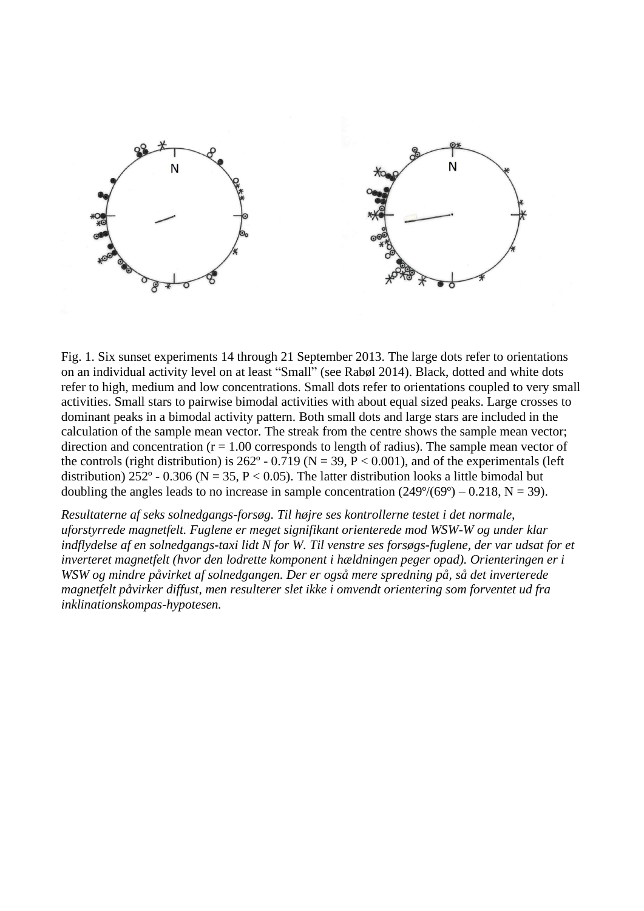

Fig. 1. Six sunset experiments 14 through 21 September 2013. The large dots refer to orientations on an individual activity level on at least "Small" (see Rabøl 2014). Black, dotted and white dots refer to high, medium and low concentrations. Small dots refer to orientations coupled to very small activities. Small stars to pairwise bimodal activities with about equal sized peaks. Large crosses to dominant peaks in a bimodal activity pattern. Both small dots and large stars are included in the calculation of the sample mean vector. The streak from the centre shows the sample mean vector; direction and concentration  $(r = 1.00$  corresponds to length of radius). The sample mean vector of the controls (right distribution) is 262° - 0.719 (N = 39, P < 0.001), and of the experimentals (left distribution) 252° - 0.306 (N = 35, P < 0.05). The latter distribution looks a little bimodal but doubling the angles leads to no increase in sample concentration  $(249^{\circ}/(69^{\circ}) - 0.218, N = 39)$ .

*Resultaterne af seks solnedgangs-forsøg. Til højre ses kontrollerne testet i det normale, uforstyrrede magnetfelt. Fuglene er meget signifikant orienterede mod WSW-W og under klar indflydelse af en solnedgangs-taxi lidt N for W. Til venstre ses forsøgs-fuglene, der var udsat for et inverteret magnetfelt (hvor den lodrette komponent i hældningen peger opad). Orienteringen er i WSW og mindre påvirket af solnedgangen. Der er også mere spredning på, så det inverterede magnetfelt påvirker diffust, men resulterer slet ikke i omvendt orientering som forventet ud fra inklinationskompas-hypotesen.*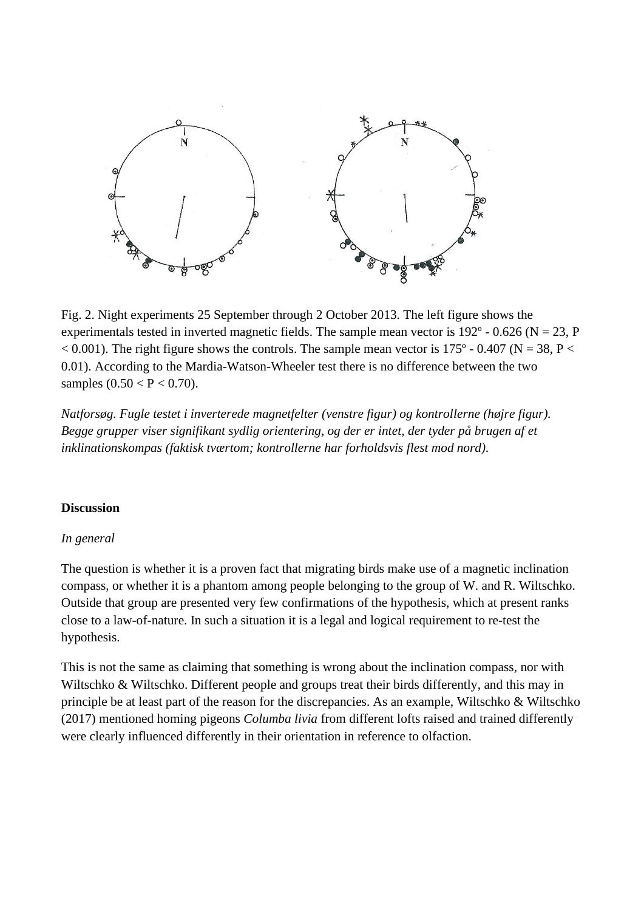

Fig. 2. Night experiments 25 September through 2 October 2013. The left figure shows the experimentals tested in inverted magnetic fields. The sample mean vector is  $192^{\circ}$  - 0.626 (N = 23, P)  $< 0.001$ ). The right figure shows the controls. The sample mean vector is 175° - 0.407 (N = 38, P  $<$ 0.01). According to the Mardia-Watson-Wheeler test there is no difference between the two samples  $(0.50 < P < 0.70)$ .

*Natforsøg. Fugle testet i inverterede magnetfelter (venstre figur) og kontrollerne (højre figur). Begge grupper viser signifikant sydlig orientering, og der er intet, der tyder på brugen af et inklinationskompas (faktisk tværtom; kontrollerne har forholdsvis flest mod nord).*

#### **Discussion**

#### *In general*

The question is whether it is a proven fact that migrating birds make use of a magnetic inclination compass, or whether it is a phantom among people belonging to the group of W. and R. Wiltschko. Outside that group are presented very few confirmations of the hypothesis, which at present ranks close to a law-of-nature. In such a situation it is a legal and logical requirement to re-test the hypothesis.

This is not the same as claiming that something is wrong about the inclination compass, nor with Wiltschko & Wiltschko. Different people and groups treat their birds differently, and this may in principle be at least part of the reason for the discrepancies. As an example, Wiltschko & Wiltschko (2017) mentioned homing pigeons *Columba livia* from different lofts raised and trained differently were clearly influenced differently in their orientation in reference to olfaction.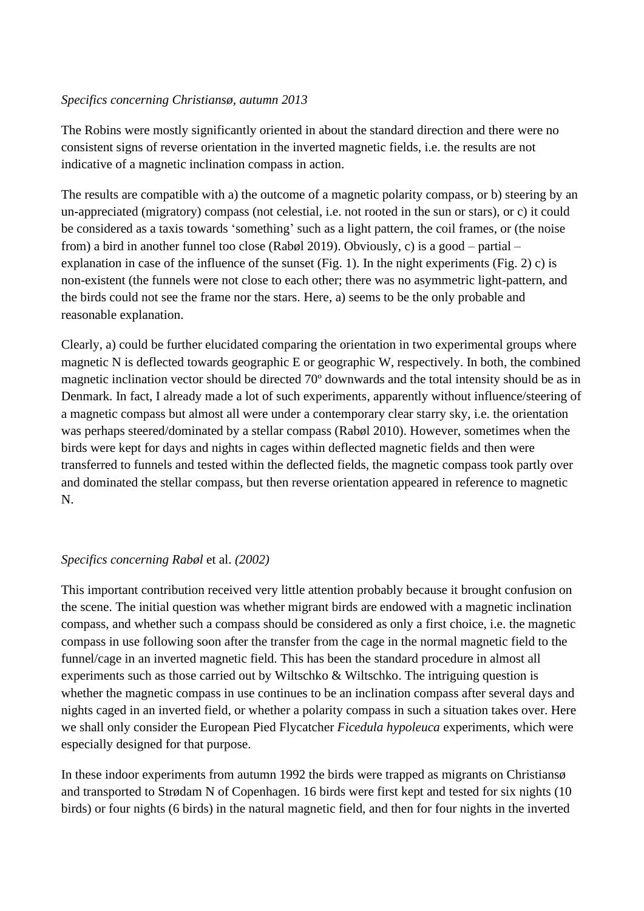## *Specifics concerning Christiansø, autumn 2013*

The Robins were mostly significantly oriented in about the standard direction and there were no consistent signs of reverse orientation in the inverted magnetic fields, i.e. the results are not indicative of a magnetic inclination compass in action.

The results are compatible with a) the outcome of a magnetic polarity compass, or b) steering by an un-appreciated (migratory) compass (not celestial, i.e. not rooted in the sun or stars), or c) it could be considered as a taxis towards 'something' such as a light pattern, the coil frames, or (the noise from) a bird in another funnel too close (Rabøl 2019). Obviously, c) is a good – partial – explanation in case of the influence of the sunset (Fig. 1). In the night experiments (Fig. 2) c) is non-existent (the funnels were not close to each other; there was no asymmetric light-pattern, and the birds could not see the frame nor the stars. Here, a) seems to be the only probable and reasonable explanation.

Clearly, a) could be further elucidated comparing the orientation in two experimental groups where magnetic N is deflected towards geographic E or geographic W, respectively. In both, the combined magnetic inclination vector should be directed 70º downwards and the total intensity should be as in Denmark. In fact, I already made a lot of such experiments, apparently without influence/steering of a magnetic compass but almost all were under a contemporary clear starry sky, i.e. the orientation was perhaps steered/dominated by a stellar compass (Rabøl 2010). However, sometimes when the birds were kept for days and nights in cages within deflected magnetic fields and then were transferred to funnels and tested within the deflected fields, the magnetic compass took partly over and dominated the stellar compass, but then reverse orientation appeared in reference to magnetic N.

#### *Specifics concerning Rabøl* et al. *(2002)*

This important contribution received very little attention probably because it brought confusion on the scene. The initial question was whether migrant birds are endowed with a magnetic inclination compass, and whether such a compass should be considered as only a first choice, i.e. the magnetic compass in use following soon after the transfer from the cage in the normal magnetic field to the funnel/cage in an inverted magnetic field. This has been the standard procedure in almost all experiments such as those carried out by Wiltschko & Wiltschko. The intriguing question is whether the magnetic compass in use continues to be an inclination compass after several days and nights caged in an inverted field, or whether a polarity compass in such a situation takes over. Here we shall only consider the European Pied Flycatcher *Ficedula hypoleuca* experiments, which were especially designed for that purpose.

In these indoor experiments from autumn 1992 the birds were trapped as migrants on Christiansø and transported to Strødam N of Copenhagen. 16 birds were first kept and tested for six nights (10 birds) or four nights (6 birds) in the natural magnetic field, and then for four nights in the inverted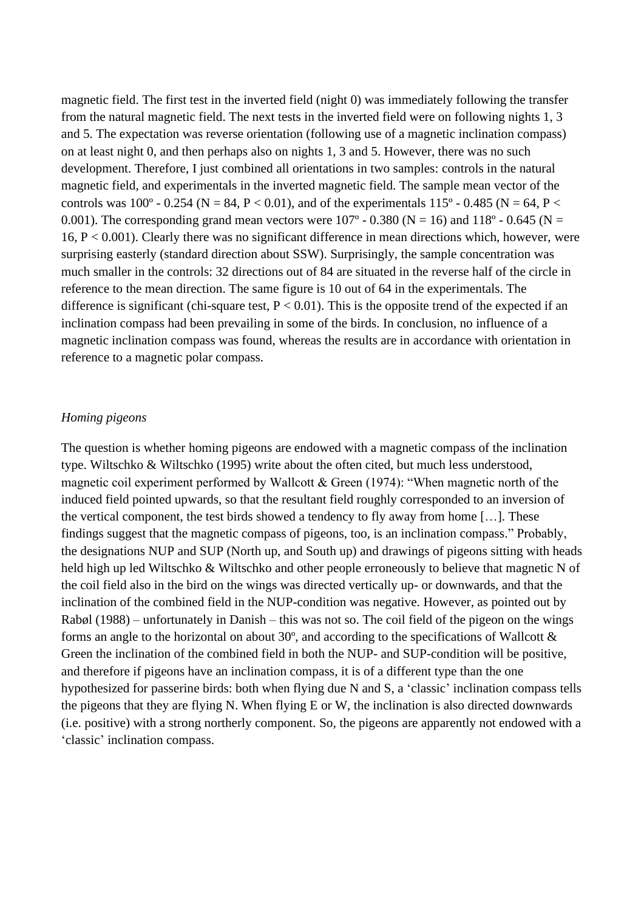magnetic field. The first test in the inverted field (night 0) was immediately following the transfer from the natural magnetic field. The next tests in the inverted field were on following nights 1, 3 and 5. The expectation was reverse orientation (following use of a magnetic inclination compass) on at least night 0, and then perhaps also on nights 1, 3 and 5. However, there was no such development. Therefore, I just combined all orientations in two samples: controls in the natural magnetic field, and experimentals in the inverted magnetic field. The sample mean vector of the controls was 100 $^{\circ}$  - 0.254 (N = 84, P < 0.01), and of the experimentals 115 $^{\circ}$  - 0.485 (N = 64, P < 0.001). The corresponding grand mean vectors were  $107^{\circ}$  - 0.380 (N = 16) and 118° - 0.645 (N = 16,  $P < 0.001$ ). Clearly there was no significant difference in mean directions which, however, were surprising easterly (standard direction about SSW). Surprisingly, the sample concentration was much smaller in the controls: 32 directions out of 84 are situated in the reverse half of the circle in reference to the mean direction. The same figure is 10 out of 64 in the experimentals. The difference is significant (chi-square test,  $P < 0.01$ ). This is the opposite trend of the expected if an inclination compass had been prevailing in some of the birds. In conclusion, no influence of a magnetic inclination compass was found, whereas the results are in accordance with orientation in reference to a magnetic polar compass.

#### *Homing pigeons*

The question is whether homing pigeons are endowed with a magnetic compass of the inclination type. Wiltschko & Wiltschko (1995) write about the often cited, but much less understood, magnetic coil experiment performed by Wallcott & Green (1974): "When magnetic north of the induced field pointed upwards, so that the resultant field roughly corresponded to an inversion of the vertical component, the test birds showed a tendency to fly away from home […]. These findings suggest that the magnetic compass of pigeons, too, is an inclination compass." Probably, the designations NUP and SUP (North up, and South up) and drawings of pigeons sitting with heads held high up led Wiltschko & Wiltschko and other people erroneously to believe that magnetic N of the coil field also in the bird on the wings was directed vertically up- or downwards, and that the inclination of the combined field in the NUP-condition was negative. However, as pointed out by Rabøl (1988) – unfortunately in Danish – this was not so. The coil field of the pigeon on the wings forms an angle to the horizontal on about 30 $^{\circ}$ , and according to the specifications of Wallcott & Green the inclination of the combined field in both the NUP- and SUP-condition will be positive, and therefore if pigeons have an inclination compass, it is of a different type than the one hypothesized for passerine birds: both when flying due N and S, a 'classic' inclination compass tells the pigeons that they are flying N. When flying E or W, the inclination is also directed downwards (i.e. positive) with a strong northerly component. So, the pigeons are apparently not endowed with a 'classic' inclination compass.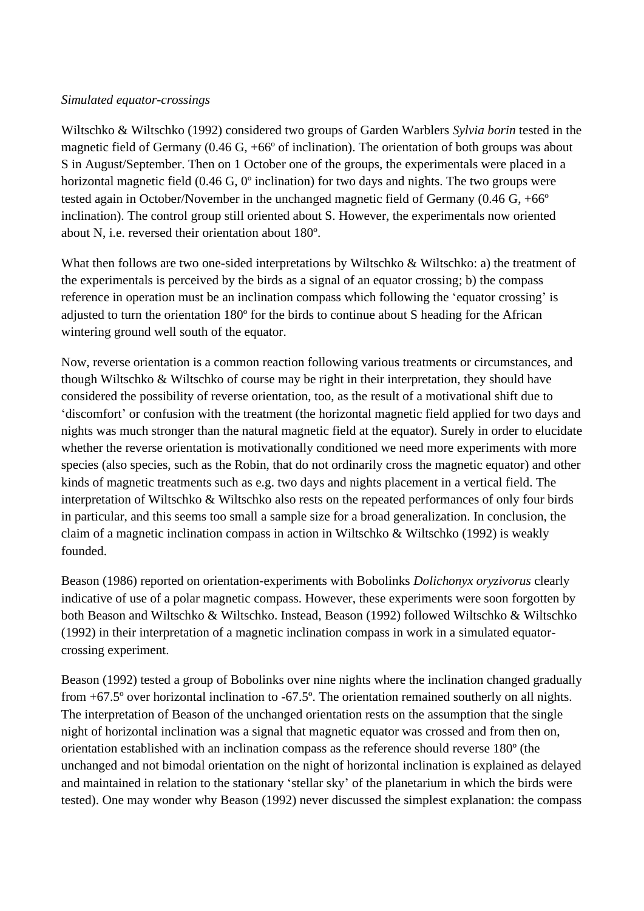## *Simulated equator-crossings*

Wiltschko & Wiltschko (1992) considered two groups of Garden Warblers *Sylvia borin* tested in the magnetic field of Germany (0.46 G, +66º of inclination). The orientation of both groups was about S in August/September. Then on 1 October one of the groups, the experimentals were placed in a horizontal magnetic field (0.46 G, 0<sup>o</sup> inclination) for two days and nights. The two groups were tested again in October/November in the unchanged magnetic field of Germany (0.46 G, +66º inclination). The control group still oriented about S. However, the experimentals now oriented about N, i.e. reversed their orientation about 180º.

What then follows are two one-sided interpretations by Wiltschko & Wiltschko: a) the treatment of the experimentals is perceived by the birds as a signal of an equator crossing; b) the compass reference in operation must be an inclination compass which following the 'equator crossing' is adjusted to turn the orientation 180º for the birds to continue about S heading for the African wintering ground well south of the equator.

Now, reverse orientation is a common reaction following various treatments or circumstances, and though Wiltschko & Wiltschko of course may be right in their interpretation, they should have considered the possibility of reverse orientation, too, as the result of a motivational shift due to 'discomfort' or confusion with the treatment (the horizontal magnetic field applied for two days and nights was much stronger than the natural magnetic field at the equator). Surely in order to elucidate whether the reverse orientation is motivationally conditioned we need more experiments with more species (also species, such as the Robin, that do not ordinarily cross the magnetic equator) and other kinds of magnetic treatments such as e.g. two days and nights placement in a vertical field. The interpretation of Wiltschko & Wiltschko also rests on the repeated performances of only four birds in particular, and this seems too small a sample size for a broad generalization. In conclusion, the claim of a magnetic inclination compass in action in Wiltschko & Wiltschko (1992) is weakly founded.

Beason (1986) reported on orientation-experiments with Bobolinks *Dolichonyx oryzivorus* clearly indicative of use of a polar magnetic compass. However, these experiments were soon forgotten by both Beason and Wiltschko & Wiltschko. Instead, Beason (1992) followed Wiltschko & Wiltschko (1992) in their interpretation of a magnetic inclination compass in work in a simulated equatorcrossing experiment.

Beason (1992) tested a group of Bobolinks over nine nights where the inclination changed gradually from +67.5º over horizontal inclination to -67.5º. The orientation remained southerly on all nights. The interpretation of Beason of the unchanged orientation rests on the assumption that the single night of horizontal inclination was a signal that magnetic equator was crossed and from then on, orientation established with an inclination compass as the reference should reverse 180º (the unchanged and not bimodal orientation on the night of horizontal inclination is explained as delayed and maintained in relation to the stationary 'stellar sky' of the planetarium in which the birds were tested). One may wonder why Beason (1992) never discussed the simplest explanation: the compass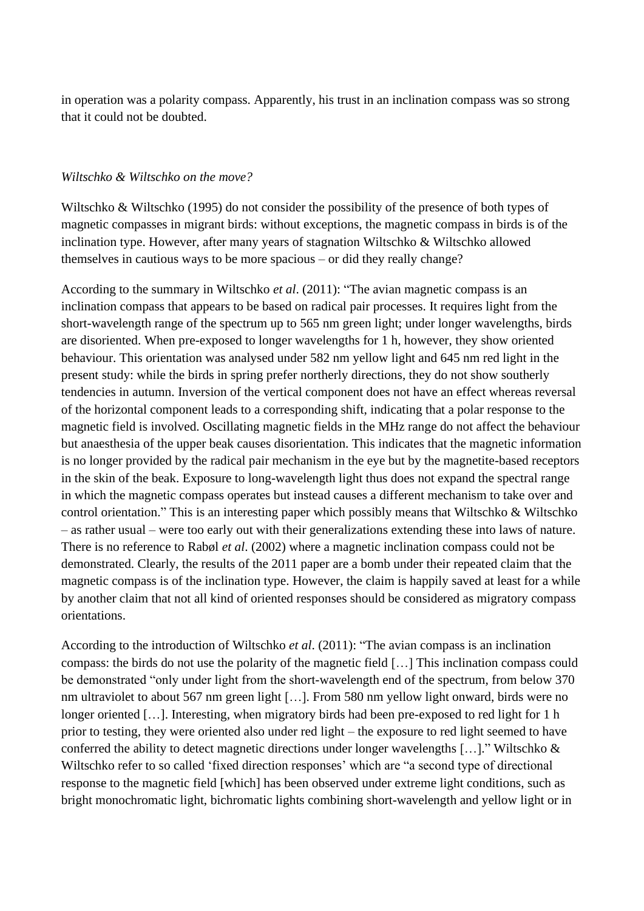in operation was a polarity compass. Apparently, his trust in an inclination compass was so strong that it could not be doubted.

#### *Wiltschko & Wiltschko on the move?*

Wiltschko & Wiltschko (1995) do not consider the possibility of the presence of both types of magnetic compasses in migrant birds: without exceptions, the magnetic compass in birds is of the inclination type. However, after many years of stagnation Wiltschko & Wiltschko allowed themselves in cautious ways to be more spacious – or did they really change?

According to the summary in Wiltschko *et al*. (2011): "The avian magnetic compass is an inclination compass that appears to be based on radical pair processes. It requires light from the short-wavelength range of the spectrum up to 565 nm green light; under longer wavelengths, birds are disoriented. When pre-exposed to longer wavelengths for 1 h, however, they show oriented behaviour. This orientation was analysed under 582 nm yellow light and 645 nm red light in the present study: while the birds in spring prefer northerly directions, they do not show southerly tendencies in autumn. Inversion of the vertical component does not have an effect whereas reversal of the horizontal component leads to a corresponding shift, indicating that a polar response to the magnetic field is involved. Oscillating magnetic fields in the MHz range do not affect the behaviour but anaesthesia of the upper beak causes disorientation. This indicates that the magnetic information is no longer provided by the radical pair mechanism in the eye but by the magnetite-based receptors in the skin of the beak. Exposure to long-wavelength light thus does not expand the spectral range in which the magnetic compass operates but instead causes a different mechanism to take over and control orientation." This is an interesting paper which possibly means that Wiltschko & Wiltschko – as rather usual – were too early out with their generalizations extending these into laws of nature. There is no reference to Rabøl *et al*. (2002) where a magnetic inclination compass could not be demonstrated. Clearly, the results of the 2011 paper are a bomb under their repeated claim that the magnetic compass is of the inclination type. However, the claim is happily saved at least for a while by another claim that not all kind of oriented responses should be considered as migratory compass orientations.

According to the introduction of Wiltschko *et al*. (2011): "The avian compass is an inclination compass: the birds do not use the polarity of the magnetic field […] This inclination compass could be demonstrated "only under light from the short-wavelength end of the spectrum, from below 370 nm ultraviolet to about 567 nm green light […]. From 580 nm yellow light onward, birds were no longer oriented [...]. Interesting, when migratory birds had been pre-exposed to red light for 1 h prior to testing, they were oriented also under red light – the exposure to red light seemed to have conferred the ability to detect magnetic directions under longer wavelengths […]." Wiltschko & Wiltschko refer to so called 'fixed direction responses' which are "a second type of directional response to the magnetic field [which] has been observed under extreme light conditions, such as bright monochromatic light, bichromatic lights combining short-wavelength and yellow light or in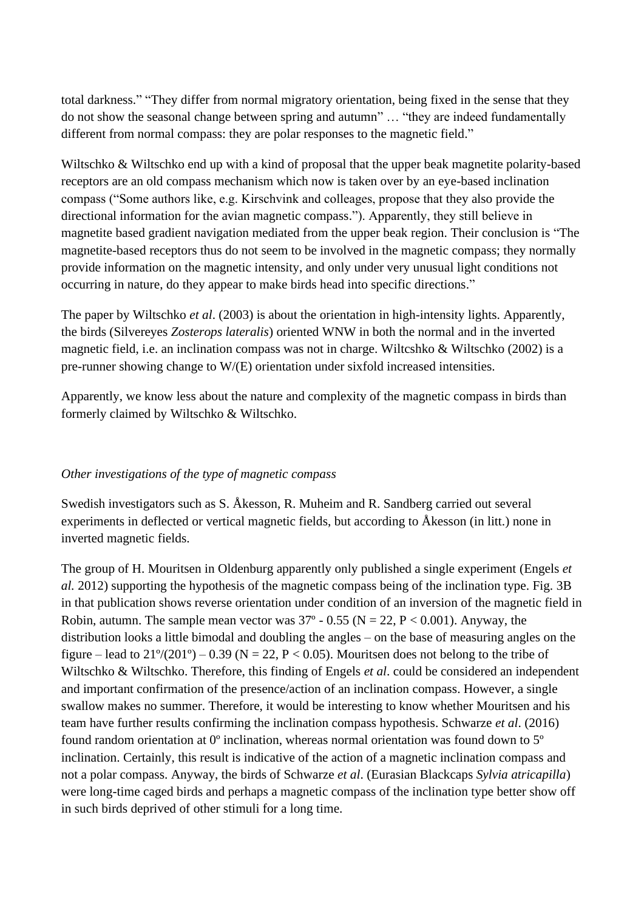total darkness." "They differ from normal migratory orientation, being fixed in the sense that they do not show the seasonal change between spring and autumn" … "they are indeed fundamentally different from normal compass: they are polar responses to the magnetic field."

Wiltschko & Wiltschko end up with a kind of proposal that the upper beak magnetite polarity-based receptors are an old compass mechanism which now is taken over by an eye-based inclination compass ("Some authors like, e.g. Kirschvink and colleages, propose that they also provide the directional information for the avian magnetic compass."). Apparently, they still believe in magnetite based gradient navigation mediated from the upper beak region. Their conclusion is "The magnetite-based receptors thus do not seem to be involved in the magnetic compass; they normally provide information on the magnetic intensity, and only under very unusual light conditions not occurring in nature, do they appear to make birds head into specific directions."

The paper by Wiltschko *et al*. (2003) is about the orientation in high-intensity lights. Apparently, the birds (Silvereyes *Zosterops lateralis*) oriented WNW in both the normal and in the inverted magnetic field, i.e. an inclination compass was not in charge. Wiltcshko & Wiltschko (2002) is a pre-runner showing change to W/(E) orientation under sixfold increased intensities.

Apparently, we know less about the nature and complexity of the magnetic compass in birds than formerly claimed by Wiltschko & Wiltschko.

## *Other investigations of the type of magnetic compass*

Swedish investigators such as S. Åkesson, R. Muheim and R. Sandberg carried out several experiments in deflected or vertical magnetic fields, but according to Åkesson (in litt.) none in inverted magnetic fields.

The group of H. Mouritsen in Oldenburg apparently only published a single experiment (Engels *et al.* 2012) supporting the hypothesis of the magnetic compass being of the inclination type. Fig. 3B in that publication shows reverse orientation under condition of an inversion of the magnetic field in Robin, autumn. The sample mean vector was  $37^{\circ}$  - 0.55 (N = 22, P < 0.001). Anyway, the distribution looks a little bimodal and doubling the angles – on the base of measuring angles on the figure – lead to  $21\degree/(201\degree)$  – 0.39 (N = 22, P < 0.05). Mouritsen does not belong to the tribe of Wiltschko & Wiltschko. Therefore, this finding of Engels *et al*. could be considered an independent and important confirmation of the presence/action of an inclination compass. However, a single swallow makes no summer. Therefore, it would be interesting to know whether Mouritsen and his team have further results confirming the inclination compass hypothesis. Schwarze *et al*. (2016) found random orientation at 0º inclination, whereas normal orientation was found down to 5º inclination. Certainly, this result is indicative of the action of a magnetic inclination compass and not a polar compass. Anyway, the birds of Schwarze *et al*. (Eurasian Blackcaps *Sylvia atricapilla*) were long-time caged birds and perhaps a magnetic compass of the inclination type better show off in such birds deprived of other stimuli for a long time.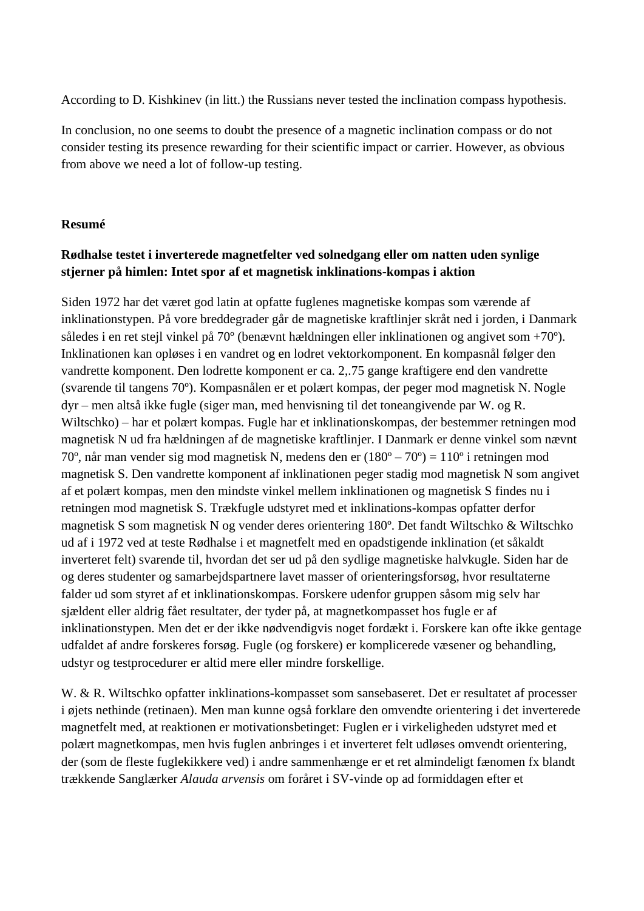According to D. Kishkinev (in litt.) the Russians never tested the inclination compass hypothesis.

In conclusion, no one seems to doubt the presence of a magnetic inclination compass or do not consider testing its presence rewarding for their scientific impact or carrier. However, as obvious from above we need a lot of follow-up testing.

## **Resumé**

# **Rødhalse testet i inverterede magnetfelter ved solnedgang eller om natten uden synlige stjerner på himlen: Intet spor af et magnetisk inklinations-kompas i aktion**

Siden 1972 har det været god latin at opfatte fuglenes magnetiske kompas som værende af inklinationstypen. På vore breddegrader går de magnetiske kraftlinjer skråt ned i jorden, i Danmark således i en ret stejl vinkel på 70º (benævnt hældningen eller inklinationen og angivet som +70º). Inklinationen kan opløses i en vandret og en lodret vektorkomponent. En kompasnål følger den vandrette komponent. Den lodrette komponent er ca. 2,.75 gange kraftigere end den vandrette (svarende til tangens 70º). Kompasnålen er et polært kompas, der peger mod magnetisk N. Nogle dyr – men altså ikke fugle (siger man, med henvisning til det toneangivende par W. og R. Wiltschko) – har et polært kompas. Fugle har et inklinationskompas, der bestemmer retningen mod magnetisk N ud fra hældningen af de magnetiske kraftlinjer. I Danmark er denne vinkel som nævnt 70º, når man vender sig mod magnetisk N, medens den er (180º – 70º) = 110º i retningen mod magnetisk S. Den vandrette komponent af inklinationen peger stadig mod magnetisk N som angivet af et polært kompas, men den mindste vinkel mellem inklinationen og magnetisk S findes nu i retningen mod magnetisk S. Trækfugle udstyret med et inklinations-kompas opfatter derfor magnetisk S som magnetisk N og vender deres orientering 180º. Det fandt Wiltschko & Wiltschko ud af i 1972 ved at teste Rødhalse i et magnetfelt med en opadstigende inklination (et såkaldt inverteret felt) svarende til, hvordan det ser ud på den sydlige magnetiske halvkugle. Siden har de og deres studenter og samarbejdspartnere lavet masser of orienteringsforsøg, hvor resultaterne falder ud som styret af et inklinationskompas. Forskere udenfor gruppen såsom mig selv har sjældent eller aldrig fået resultater, der tyder på, at magnetkompasset hos fugle er af inklinationstypen. Men det er der ikke nødvendigvis noget fordækt i. Forskere kan ofte ikke gentage udfaldet af andre forskeres forsøg. Fugle (og forskere) er komplicerede væsener og behandling, udstyr og testprocedurer er altid mere eller mindre forskellige.

W. & R. Wiltschko opfatter inklinations-kompasset som sansebaseret. Det er resultatet af processer i øjets nethinde (retinaen). Men man kunne også forklare den omvendte orientering i det inverterede magnetfelt med, at reaktionen er motivationsbetinget: Fuglen er i virkeligheden udstyret med et polært magnetkompas, men hvis fuglen anbringes i et inverteret felt udløses omvendt orientering, der (som de fleste fuglekikkere ved) i andre sammenhænge er et ret almindeligt fænomen fx blandt trækkende Sanglærker *Alauda arvensis* om foråret i SV-vinde op ad formiddagen efter et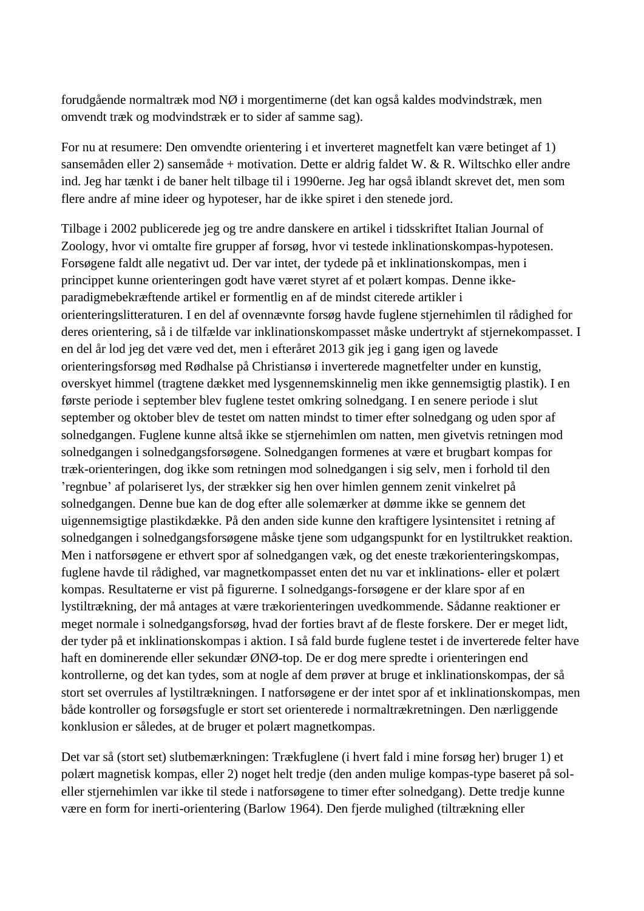forudgående normaltræk mod NØ i morgentimerne (det kan også kaldes modvindstræk, men omvendt træk og modvindstræk er to sider af samme sag).

For nu at resumere: Den omvendte orientering i et inverteret magnetfelt kan være betinget af 1) sansemåden eller 2) sansemåde + motivation. Dette er aldrig faldet W. & R. Wiltschko eller andre ind. Jeg har tænkt i de baner helt tilbage til i 1990erne. Jeg har også iblandt skrevet det, men som flere andre af mine ideer og hypoteser, har de ikke spiret i den stenede jord.

Tilbage i 2002 publicerede jeg og tre andre danskere en artikel i tidsskriftet Italian Journal of Zoology, hvor vi omtalte fire grupper af forsøg, hvor vi testede inklinationskompas-hypotesen. Forsøgene faldt alle negativt ud. Der var intet, der tydede på et inklinationskompas, men i princippet kunne orienteringen godt have været styret af et polært kompas. Denne ikkeparadigmebekræftende artikel er formentlig en af de mindst citerede artikler i orienteringslitteraturen. I en del af ovennævnte forsøg havde fuglene stjernehimlen til rådighed for deres orientering, så i de tilfælde var inklinationskompasset måske undertrykt af stjernekompasset. I en del år lod jeg det være ved det, men i efteråret 2013 gik jeg i gang igen og lavede orienteringsforsøg med Rødhalse på Christiansø i inverterede magnetfelter under en kunstig, overskyet himmel (tragtene dækket med lysgennemskinnelig men ikke gennemsigtig plastik). I en første periode i september blev fuglene testet omkring solnedgang. I en senere periode i slut september og oktober blev de testet om natten mindst to timer efter solnedgang og uden spor af solnedgangen. Fuglene kunne altså ikke se stjernehimlen om natten, men givetvis retningen mod solnedgangen i solnedgangsforsøgene. Solnedgangen formenes at være et brugbart kompas for træk-orienteringen, dog ikke som retningen mod solnedgangen i sig selv, men i forhold til den 'regnbue' af polariseret lys, der strækker sig hen over himlen gennem zenit vinkelret på solnedgangen. Denne bue kan de dog efter alle solemærker at dømme ikke se gennem det uigennemsigtige plastikdække. På den anden side kunne den kraftigere lysintensitet i retning af solnedgangen i solnedgangsforsøgene måske tjene som udgangspunkt for en lystiltrukket reaktion. Men i natforsøgene er ethvert spor af solnedgangen væk, og det eneste trækorienteringskompas, fuglene havde til rådighed, var magnetkompasset enten det nu var et inklinations- eller et polært kompas. Resultaterne er vist på figurerne. I solnedgangs-forsøgene er der klare spor af en lystiltrækning, der må antages at være trækorienteringen uvedkommende. Sådanne reaktioner er meget normale i solnedgangsforsøg, hvad der forties bravt af de fleste forskere. Der er meget lidt, der tyder på et inklinationskompas i aktion. I så fald burde fuglene testet i de inverterede felter have haft en dominerende eller sekundær ØNØ-top. De er dog mere spredte i orienteringen end kontrollerne, og det kan tydes, som at nogle af dem prøver at bruge et inklinationskompas, der så stort set overrules af lystiltrækningen. I natforsøgene er der intet spor af et inklinationskompas, men både kontroller og forsøgsfugle er stort set orienterede i normaltrækretningen. Den nærliggende konklusion er således, at de bruger et polært magnetkompas.

Det var så (stort set) slutbemærkningen: Trækfuglene (i hvert fald i mine forsøg her) bruger 1) et polært magnetisk kompas, eller 2) noget helt tredje (den anden mulige kompas-type baseret på soleller stjernehimlen var ikke til stede i natforsøgene to timer efter solnedgang). Dette tredje kunne være en form for inerti-orientering (Barlow 1964). Den fjerde mulighed (tiltrækning eller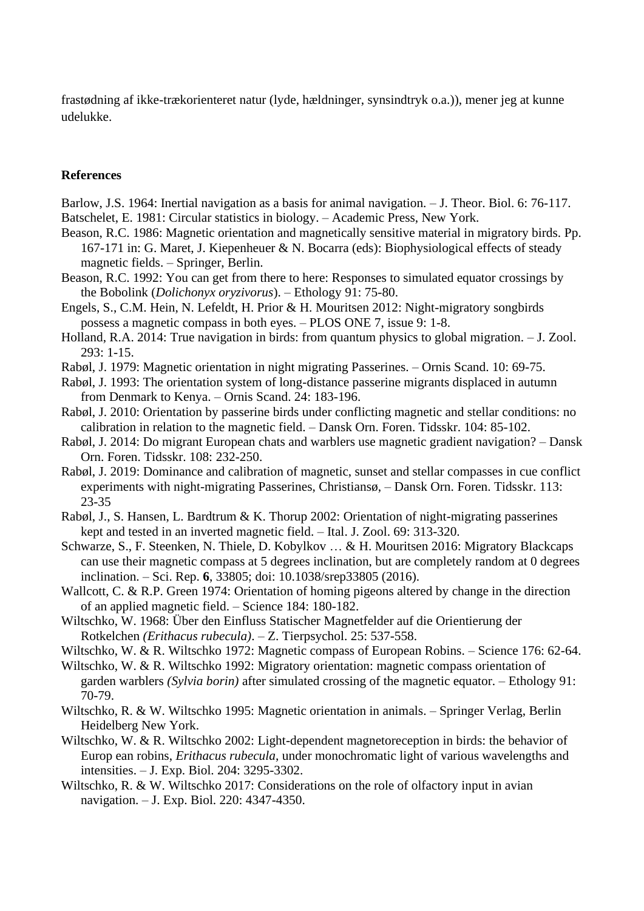frastødning af ikke-trækorienteret natur (lyde, hældninger, synsindtryk o.a.)), mener jeg at kunne udelukke.

#### **References**

Barlow, J.S. 1964: Inertial navigation as a basis for animal navigation. – J. Theor. Biol. 6: 76-117. Batschelet, E. 1981: Circular statistics in biology. – Academic Press, New York.

- Beason, R.C. 1986: Magnetic orientation and magnetically sensitive material in migratory birds. Pp. 167-171 in: G. Maret, J. Kiepenheuer & N. Bocarra (eds): Biophysiological effects of steady magnetic fields. – Springer, Berlin.
- Beason, R.C. 1992: You can get from there to here: Responses to simulated equator crossings by the Bobolink (*Dolichonyx oryzivorus*). – Ethology 91: 75-80.
- Engels, S., C.M. Hein, N. Lefeldt, H. Prior & H. Mouritsen 2012: Night-migratory songbirds possess a magnetic compass in both eyes. – PLOS ONE 7, issue 9: 1-8.
- Holland, R.A. 2014: True navigation in birds: from quantum physics to global migration. J. Zool. 293: 1-15.
- Rabøl, J. 1979: Magnetic orientation in night migrating Passerines. Ornis Scand. 10: 69-75.
- Rabøl, J. 1993: The orientation system of long-distance passerine migrants displaced in autumn from Denmark to Kenya. – Ornis Scand. 24: 183-196.
- Rabøl, J. 2010: Orientation by passerine birds under conflicting magnetic and stellar conditions: no calibration in relation to the magnetic field. – Dansk Orn. Foren. Tidsskr. 104: 85-102.
- Rabøl, J. 2014: Do migrant European chats and warblers use magnetic gradient navigation? Dansk Orn. Foren. Tidsskr. 108: 232-250.
- Rabøl, J. 2019: Dominance and calibration of magnetic, sunset and stellar compasses in cue conflict experiments with night-migrating Passerines, Christiansø, – Dansk Orn. Foren. Tidsskr. 113: 23-35
- Rabøl, J., S. Hansen, L. Bardtrum & K. Thorup 2002: Orientation of night-migrating passerines kept and tested in an inverted magnetic field. – Ital. J. Zool. 69: 313-320.
- Schwarze, S., F. Steenken, N. Thiele, D. Kobylkov … & H. Mouritsen 2016: Migratory Blackcaps can use their magnetic compass at 5 degrees inclination, but are completely random at 0 degrees inclination. – Sci. Rep. **6**, 33805; doi: 10.1038/srep33805 (2016).
- Wallcott, C. & R.P. Green 1974: Orientation of homing pigeons altered by change in the direction of an applied magnetic field. – Science 184: 180-182.
- Wiltschko, W. 1968: Über den Einfluss Statischer Magnetfelder auf die Orientierung der Rotkelchen *(Erithacus rubecula)*. – Z. Tierpsychol. 25: 537-558.
- Wiltschko, W. & R. Wiltschko 1972: Magnetic compass of European Robins. Science 176: 62-64.
- Wiltschko, W. & R. Wiltschko 1992: Migratory orientation: magnetic compass orientation of garden warblers *(Sylvia borin)* after simulated crossing of the magnetic equator. – Ethology 91: 70-79.
- Wiltschko, R. & W. Wiltschko 1995: Magnetic orientation in animals. Springer Verlag, Berlin Heidelberg New York.
- Wiltschko, W. & R. Wiltschko 2002: Light-dependent magnetoreception in birds: the behavior of Europ ean robins, *Erithacus rubecula*, under monochromatic light of various wavelengths and intensities. – J. Exp. Biol. 204: 3295-3302.
- Wiltschko, R. & W. Wiltschko 2017: Considerations on the role of olfactory input in avian navigation. – J. Exp. Biol. 220: 4347-4350.